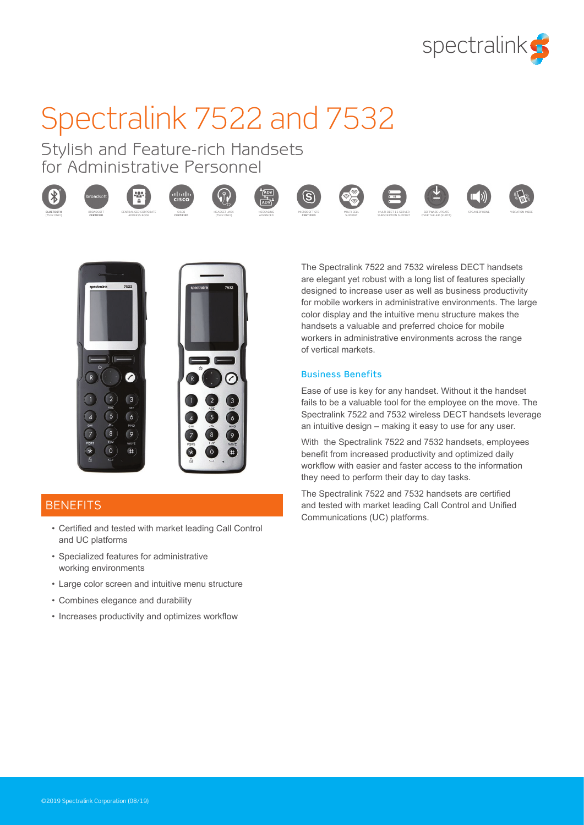

# Spectralink 7522 and 7532

Stylish and Feature-rich Handsets for Administrative Personnel

CISCO









ADVANCED





SUBSCRIPTION SUPPORT

SUPPORT



SOFTWARE UPDATE OVER THE AIR (SUOTA)







# **BENEFITS**

- Certified and tested with market leading Call Control and UC platforms
- Specialized features for administrative working environments
- Large color screen and intuitive menu structure
- Combines elegance and durability
- Increases productivity and optimizes workflow

The Spectralink 7522 and 7532 wireless DECT handsets are elegant yet robust with a long list of features specially designed to increase user as well as business productivity for mobile workers in administrative environments. The large color display and the intuitive menu structure makes the handsets a valuable and preferred choice for mobile workers in administrative environments across the range of vertical markets.

#### Business Benefits

Ease of use is key for any handset. Without it the handset fails to be a valuable tool for the employee on the move. The Spectralink 7522 and 7532 wireless DECT handsets leverage an intuitive design – making it easy to use for any user.

With the Spectralink 7522 and 7532 handsets, employees benefit from increased productivity and optimized daily workflow with easier and faster access to the information they need to perform their day to day tasks.

The Spectralink 7522 and 7532 handsets are certified and tested with market leading Call Control and Unified Communications (UC) platforms.